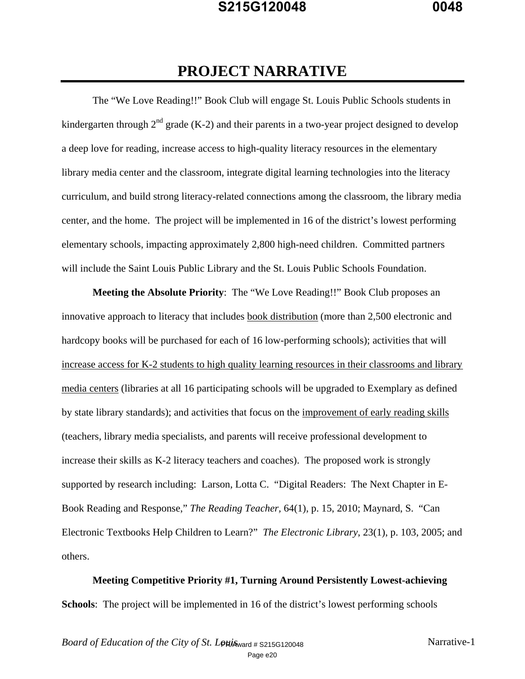# **PROJECT NARRATIVE**

The "We Love Reading!!" Book Club will engage St. Louis Public Schools students in kindergarten through  $2<sup>nd</sup>$  grade (K-2) and their parents in a two-year project designed to develop a deep love for reading, increase access to high-quality literacy resources in the elementary library media center and the classroom, integrate digital learning technologies into the literacy curriculum, and build strong literacy-related connections among the classroom, the library media center, and the home. The project will be implemented in 16 of the district's lowest performing elementary schools, impacting approximately 2,800 high-need children. Committed partners will include the Saint Louis Public Library and the St. Louis Public Schools Foundation.

**Meeting the Absolute Priority**: The "We Love Reading!!" Book Club proposes an innovative approach to literacy that includes book distribution (more than 2,500 electronic and hardcopy books will be purchased for each of 16 low-performing schools); activities that will increase access for K-2 students to high quality learning resources in their classrooms and library media centers (libraries at all 16 participating schools will be upgraded to Exemplary as defined by state library standards); and activities that focus on the improvement of early reading skills (teachers, library media specialists, and parents will receive professional development to increase their skills as K-2 literacy teachers and coaches). The proposed work is strongly supported by research including: Larson, Lotta C. "Digital Readers: The Next Chapter in E-Book Reading and Response," *The Reading Teacher,* 64(1), p. 15, 2010; Maynard, S. "Can Electronic Textbooks Help Children to Learn?" *The Electronic Library*, 23(1), p. 103, 2005; and others.

**Meeting Competitive Priority #1, Turning Around Persistently Lowest-achieving Schools**: The project will be implemented in 16 of the district's lowest performing schools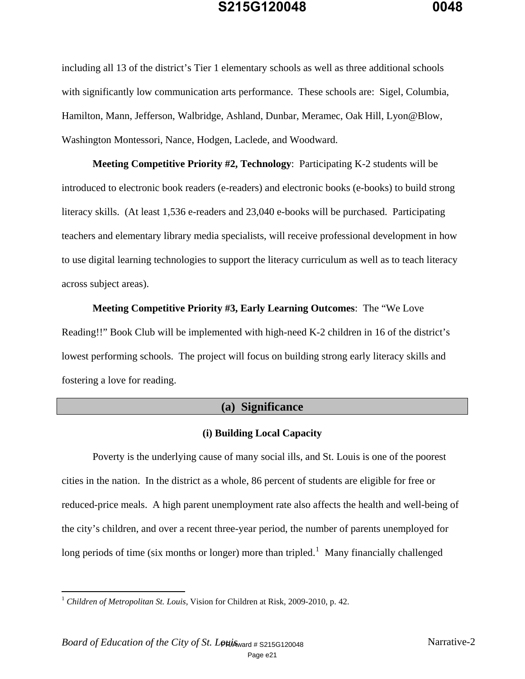including all 13 of the district's Tier 1 elementary schools as well as three additional schools with significantly low communication arts performance. These schools are: Sigel, Columbia, Hamilton, Mann, Jefferson, Walbridge, Ashland, Dunbar, Meramec, Oak Hill, Lyon@Blow, Washington Montessori, Nance, Hodgen, Laclede, and Woodward.

**Meeting Competitive Priority #2, Technology**: Participating K-2 students will be introduced to electronic book readers (e-readers) and electronic books (e-books) to build strong literacy skills. (At least 1,536 e-readers and 23,040 e-books will be purchased. Participating teachers and elementary library media specialists, will receive professional development in how to use digital learning technologies to support the literacy curriculum as well as to teach literacy across subject areas).

**Meeting Competitive Priority #3, Early Learning Outcomes**: The "We Love Reading!!" Book Club will be implemented with high-need K-2 children in 16 of the district's lowest performing schools. The project will focus on building strong early literacy skills and fostering a love for reading.

#### **(a) Significance**

#### **(i) Building Local Capacity**

Poverty is the underlying cause of many social ills, and St. Louis is one of the poorest cities in the nation. In the district as a whole, 86 percent of students are eligible for free or reduced-price meals. A high parent unemployment rate also affects the health and well-being of the city's children, and over a recent three-year period, the number of parents unemployed for long periods of time (six months or longer) more than tripled.<sup>1</sup> Many financially challenged

<sup>1</sup> *Children of Metropolitan St. Louis,* Vision for Children at Risk, 2009-2010, p. 42.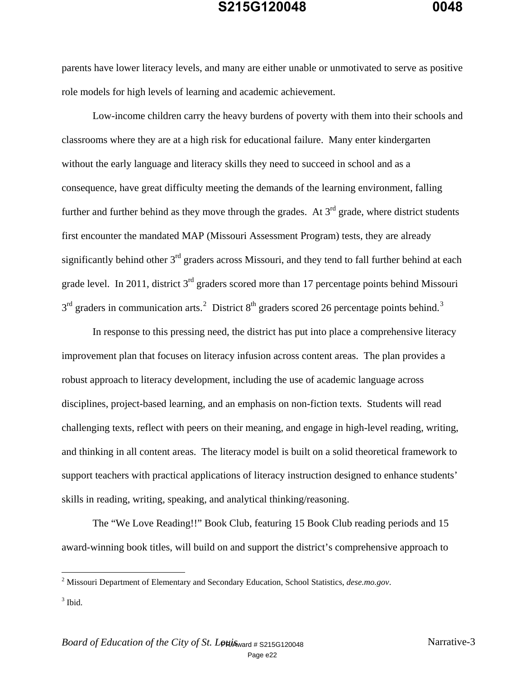parents have lower literacy levels, and many are either unable or unmotivated to serve as positive role models for high levels of learning and academic achievement.

Low-income children carry the heavy burdens of poverty with them into their schools and classrooms where they are at a high risk for educational failure. Many enter kindergarten without the early language and literacy skills they need to succeed in school and as a consequence, have great difficulty meeting the demands of the learning environment, falling further and further behind as they move through the grades. At  $3<sup>rd</sup>$  grade, where district students first encounter the mandated MAP (Missouri Assessment Program) tests, they are already significantly behind other  $3<sup>rd</sup>$  graders across Missouri, and they tend to fall further behind at each grade level. In 2011, district  $3<sup>rd</sup>$  graders scored more than 17 percentage points behind Missouri  $3<sup>rd</sup>$  graders in communication arts.<sup>2</sup> District 8<sup>th</sup> graders scored 26 percentage points behind.<sup>3</sup>

In response to this pressing need, the district has put into place a comprehensive literacy improvement plan that focuses on literacy infusion across content areas. The plan provides a robust approach to literacy development, including the use of academic language across disciplines, project-based learning, and an emphasis on non-fiction texts. Students will read challenging texts, reflect with peers on their meaning, and engage in high-level reading, writing, and thinking in all content areas. The literacy model is built on a solid theoretical framework to support teachers with practical applications of literacy instruction designed to enhance students' skills in reading, writing, speaking, and analytical thinking/reasoning.

 The "We Love Reading!!" Book Club, featuring 15 Book Club reading periods and 15 award-winning book titles, will build on and support the district's comprehensive approach to

 2 Missouri Department of Elementary and Secondary Education, School Statistics, *dese.mo.gov*.

 $3$  Ibid.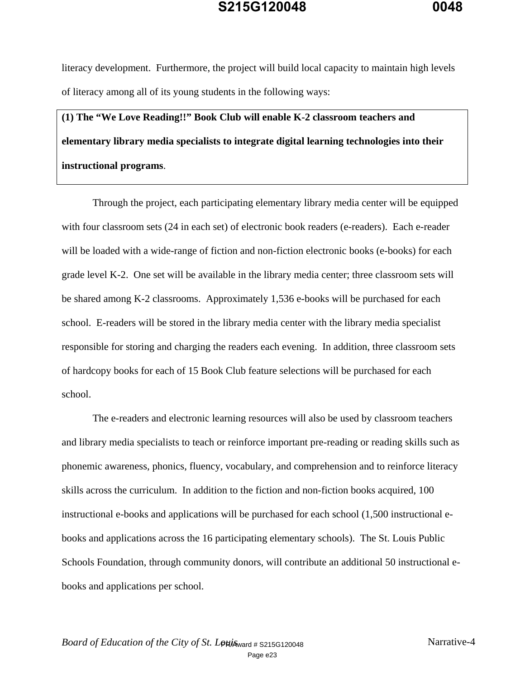literacy development. Furthermore, the project will build local capacity to maintain high levels of literacy among all of its young students in the following ways:

**(1) The "We Love Reading!!" Book Club will enable K-2 classroom teachers and elementary library media specialists to integrate digital learning technologies into their instructional programs**.

Through the project, each participating elementary library media center will be equipped with four classroom sets (24 in each set) of electronic book readers (e-readers). Each e-reader will be loaded with a wide-range of fiction and non-fiction electronic books (e-books) for each grade level K-2. One set will be available in the library media center; three classroom sets will be shared among K-2 classrooms. Approximately 1,536 e-books will be purchased for each school. E-readers will be stored in the library media center with the library media specialist responsible for storing and charging the readers each evening. In addition, three classroom sets of hardcopy books for each of 15 Book Club feature selections will be purchased for each school.

The e-readers and electronic learning resources will also be used by classroom teachers and library media specialists to teach or reinforce important pre-reading or reading skills such as phonemic awareness, phonics, fluency, vocabulary, and comprehension and to reinforce literacy skills across the curriculum. In addition to the fiction and non-fiction books acquired, 100 instructional e-books and applications will be purchased for each school (1,500 instructional ebooks and applications across the 16 participating elementary schools). The St. Louis Public Schools Foundation, through community donors, will contribute an additional 50 instructional ebooks and applications per school.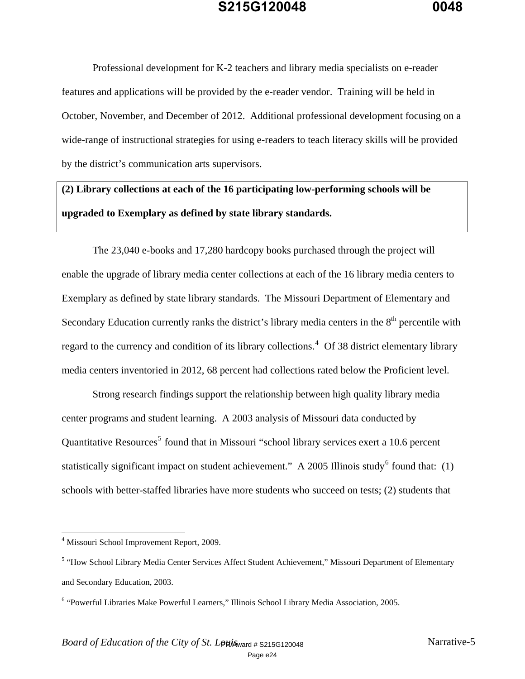Professional development for K-2 teachers and library media specialists on e-reader features and applications will be provided by the e-reader vendor. Training will be held in October, November, and December of 2012. Additional professional development focusing on a wide-range of instructional strategies for using e-readers to teach literacy skills will be provided by the district's communication arts supervisors.

**(2) Library collections at each of the 16 participating low-performing schools will be upgraded to Exemplary as defined by state library standards.** 

 The 23,040 e-books and 17,280 hardcopy books purchased through the project will enable the upgrade of library media center collections at each of the 16 library media centers to Exemplary as defined by state library standards. The Missouri Department of Elementary and Secondary Education currently ranks the district's library media centers in the  $8<sup>th</sup>$  percentile with regard to the currency and condition of its library collections.<sup>4</sup> Of 38 district elementary library media centers inventoried in 2012, 68 percent had collections rated below the Proficient level.

Strong research findings support the relationship between high quality library media center programs and student learning. A 2003 analysis of Missouri data conducted by Quantitative Resources<sup>5</sup> found that in Missouri "school library services exert a 10.6 percent statistically significant impact on student achievement." A 2005 Illinois study<sup>6</sup> found that: (1) schools with better-staffed libraries have more students who succeed on tests; (2) students that

 4 Missouri School Improvement Report, 2009.

<sup>&</sup>lt;sup>5</sup> "How School Library Media Center Services Affect Student Achievement," Missouri Department of Elementary and Secondary Education, 2003.

<sup>&</sup>lt;sup>6</sup> "Powerful Libraries Make Powerful Learners," Illinois School Library Media Association, 2005.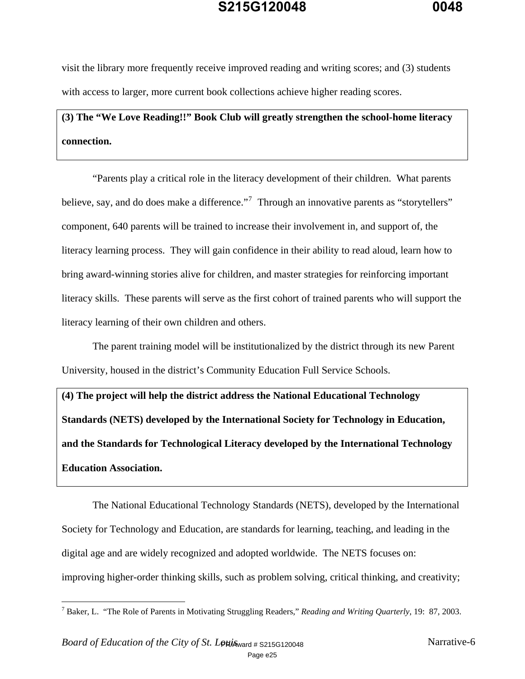visit the library more frequently receive improved reading and writing scores; and (3) students with access to larger, more current book collections achieve higher reading scores.

# **(3) The "We Love Reading!!" Book Club will greatly strengthen the school-home literacy connection.**

 "Parents play a critical role in the literacy development of their children. What parents believe, say, and do does make a difference."<sup>7</sup> Through an innovative parents as "storytellers" component, 640 parents will be trained to increase their involvement in, and support of, the literacy learning process. They will gain confidence in their ability to read aloud, learn how to bring award-winning stories alive for children, and master strategies for reinforcing important literacy skills. These parents will serve as the first cohort of trained parents who will support the literacy learning of their own children and others.

The parent training model will be institutionalized by the district through its new Parent University, housed in the district's Community Education Full Service Schools.

**(4) The project will help the district address the National Educational Technology Standards (NETS) developed by the International Society for Technology in Education, and the Standards for Technological Literacy developed by the International Technology Education Association.** 

 The National Educational Technology Standards (NETS), developed by the International Society for Technology and Education, are standards for learning, teaching, and leading in the digital age and are widely recognized and adopted worldwide. The NETS focuses on: improving higher-order thinking skills, such as problem solving, critical thinking, and creativity;

<sup>7</sup> Baker, L. "The Role of Parents in Motivating Struggling Readers," *Reading and Writing Quarterly*, 19: 87, 2003.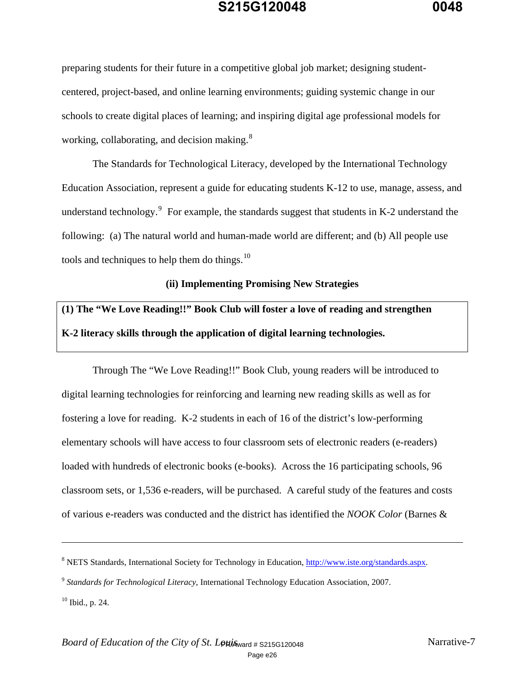preparing students for their future in a competitive global job market; designing studentcentered, project-based, and online learning environments; guiding systemic change in our schools to create digital places of learning; and inspiring digital age professional models for working, collaborating, and decision making.<sup>8</sup>

 The Standards for Technological Literacy, developed by the International Technology Education Association, represent a guide for educating students K-12 to use, manage, assess, and understand technology. $9$  For example, the standards suggest that students in K-2 understand the following: (a) The natural world and human-made world are different; and (b) All people use tools and techniques to help them do things.<sup>10</sup>

#### **(ii) Implementing Promising New Strategies**

# **(1) The "We Love Reading!!" Book Club will foster a love of reading and strengthen K-2 literacy skills through the application of digital learning technologies.**

 Through The "We Love Reading!!" Book Club, young readers will be introduced to digital learning technologies for reinforcing and learning new reading skills as well as for fostering a love for reading. K-2 students in each of 16 of the district's low-performing elementary schools will have access to four classroom sets of electronic readers (e-readers) loaded with hundreds of electronic books (e-books). Across the 16 participating schools, 96 classroom sets, or 1,536 e-readers, will be purchased. A careful study of the features and costs of various e-readers was conducted and the district has identified the *NOOK Color* (Barnes &

<sup>&</sup>lt;sup>8</sup> NETS Standards, International Society for Technology in Education, http://www.iste.org/standards.aspx.

<sup>9</sup> *Standards for Technological Literacy*, International Technology Education Association, 2007.

 $10$  Ibid., p. 24.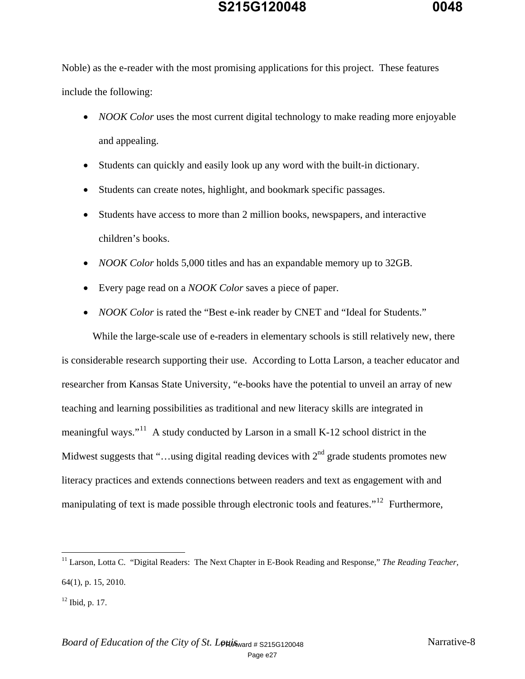Noble) as the e-reader with the most promising applications for this project. These features include the following:

- *NOOK Color* uses the most current digital technology to make reading more enjoyable and appealing.
- Students can quickly and easily look up any word with the built-in dictionary.
- Students can create notes, highlight, and bookmark specific passages.
- Students have access to more than 2 million books, newspapers, and interactive children's books.
- *NOOK Color* holds 5,000 titles and has an expandable memory up to 32GB.
- Every page read on a *NOOK Color* saves a piece of paper.
- *NOOK Color* is rated the "Best e-ink reader by CNET and "Ideal for Students."

While the large-scale use of e-readers in elementary schools is still relatively new, there is considerable research supporting their use. According to Lotta Larson, a teacher educator and researcher from Kansas State University, "e-books have the potential to unveil an array of new teaching and learning possibilities as traditional and new literacy skills are integrated in meaningful ways."11 A study conducted by Larson in a small K-12 school district in the Midwest suggests that "...using digital reading devices with  $2<sup>nd</sup>$  grade students promotes new literacy practices and extends connections between readers and text as engagement with and manipulating of text is made possible through electronic tools and features."<sup>12</sup> Furthermore,

<sup>&</sup>lt;sup>11</sup> Larson, Lotta C. "Digital Readers: The Next Chapter in E-Book Reading and Response," The Reading Teacher, 64(1), p. 15, 2010.

 $12$  Ibid, p. 17.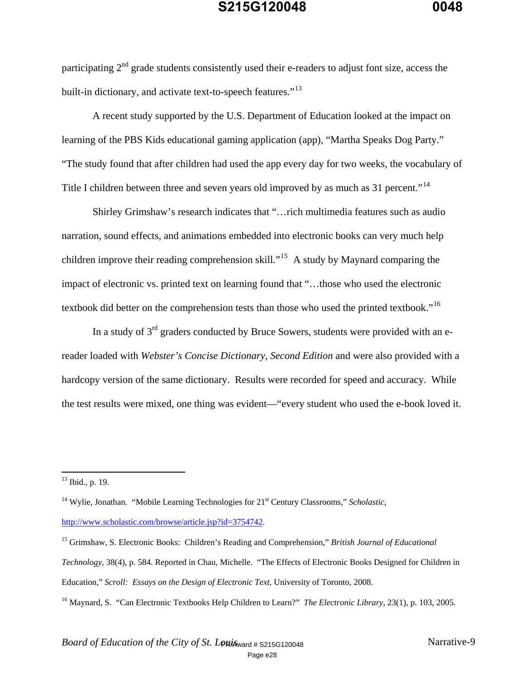participating  $2<sup>nd</sup>$  grade students consistently used their e-readers to adjust font size, access the built-in dictionary, and activate text-to-speech features."<sup>13</sup>

 A recent study supported by the U.S. Department of Education looked at the impact on learning of the PBS Kids educational gaming application (app), "Martha Speaks Dog Party." "The study found that after children had used the app every day for two weeks, the vocabulary of Title I children between three and seven years old improved by as much as 31 percent."<sup>14</sup>

 Shirley Grimshaw's research indicates that "…rich multimedia features such as audio narration, sound effects, and animations embedded into electronic books can very much help children improve their reading comprehension skill."15 A study by Maynard comparing the impact of electronic vs. printed text on learning found that "…those who used the electronic textbook did better on the comprehension tests than those who used the printed textbook."<sup>16</sup>

In a study of  $3<sup>rd</sup>$  graders conducted by Bruce Sowers, students were provided with an ereader loaded with *Webster's Concise Dictionary*, *Second Edition* and were also provided with a hardcopy version of the same dictionary. Results were recorded for speed and accuracy. While the test results were mixed, one thing was evident—"every student who used the e-book loved it.

 $\overline{a}$ 

http://www.scholastic.com/browse/article.jsp?id=3754742.

*Technology*, 38(4), p. 584. Reported in Chau, Michelle. "The Effects of Electronic Books Designed for Children in

 $13$  Ibid., p. 19.

<sup>&</sup>lt;sup>14</sup> Wylie, Jonathan. "Mobile Learning Technologies for 21<sup>st</sup> Century Classrooms," *Scholastic*,

<sup>15</sup> Grimshaw, S. Electronic Books: Children's Reading and Comprehension," *British Journal of Educational* 

Education," *Scroll: Essays on the Design of Electronic Text*, University of Toronto, 2008.

<sup>&</sup>lt;sup>16</sup> Maynard, S. "Can Electronic Textbooks Help Children to Learn?" *The Electronic Library*, 23(1), p. 103, 2005.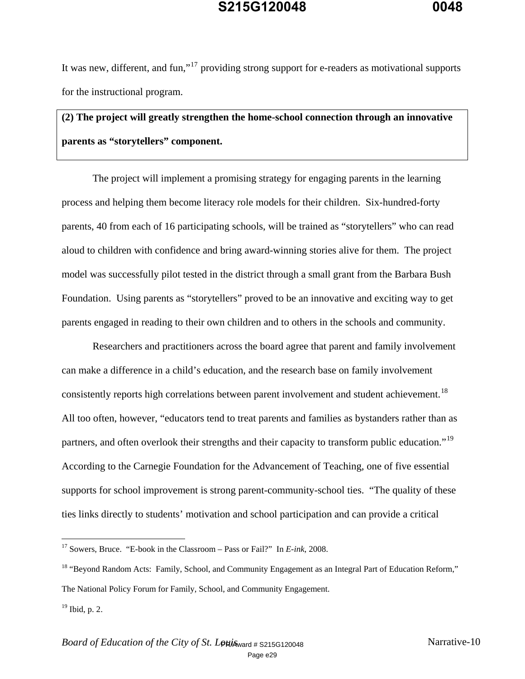It was new, different, and fun,"<sup>17</sup> providing strong support for e-readers as motivational supports for the instructional program.

# **(2) The project will greatly strengthen the home-school connection through an innovative parents as "storytellers" component.**

 The project will implement a promising strategy for engaging parents in the learning process and helping them become literacy role models for their children. Six-hundred-forty parents, 40 from each of 16 participating schools, will be trained as "storytellers" who can read aloud to children with confidence and bring award-winning stories alive for them. The project model was successfully pilot tested in the district through a small grant from the Barbara Bush Foundation. Using parents as "storytellers" proved to be an innovative and exciting way to get parents engaged in reading to their own children and to others in the schools and community.

 Researchers and practitioners across the board agree that parent and family involvement can make a difference in a child's education, and the research base on family involvement consistently reports high correlations between parent involvement and student achievement.<sup>18</sup> All too often, however, "educators tend to treat parents and families as bystanders rather than as partners, and often overlook their strengths and their capacity to transform public education."<sup>19</sup> According to the Carnegie Foundation for the Advancement of Teaching, one of five essential supports for school improvement is strong parent-community-school ties. "The quality of these ties links directly to students' motivation and school participation and can provide a critical

1

<sup>17</sup> Sowers, Bruce. "E-book in the Classroom – Pass or Fail?" In *E-ink*, 2008.

<sup>&</sup>lt;sup>18</sup> "Beyond Random Acts: Family, School, and Community Engagement as an Integral Part of Education Reform," The National Policy Forum for Family, School, and Community Engagement.

 $19$  Ibid, p. 2.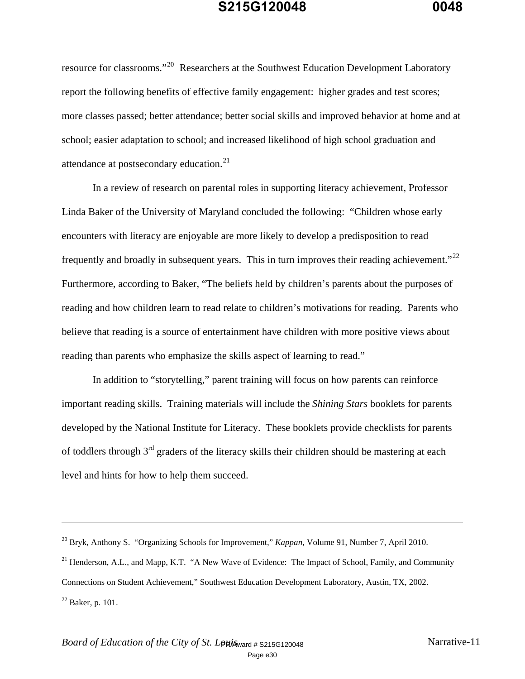resource for classrooms."20 Researchers at the Southwest Education Development Laboratory report the following benefits of effective family engagement: higher grades and test scores; more classes passed; better attendance; better social skills and improved behavior at home and at school; easier adaptation to school; and increased likelihood of high school graduation and attendance at postsecondary education.<sup>21</sup>

 In a review of research on parental roles in supporting literacy achievement, Professor Linda Baker of the University of Maryland concluded the following: "Children whose early encounters with literacy are enjoyable are more likely to develop a predisposition to read frequently and broadly in subsequent years. This in turn improves their reading achievement."<sup>22</sup> Furthermore, according to Baker, "The beliefs held by children's parents about the purposes of reading and how children learn to read relate to children's motivations for reading. Parents who believe that reading is a source of entertainment have children with more positive views about reading than parents who emphasize the skills aspect of learning to read."

 In addition to "storytelling," parent training will focus on how parents can reinforce important reading skills. Training materials will include the *Shining Stars* booklets for parents developed by the National Institute for Literacy. These booklets provide checklists for parents of toddlers through 3<sup>rd</sup> graders of the literacy skills their children should be mastering at each level and hints for how to help them succeed.

<sup>20</sup> Bryk, Anthony S. "Organizing Schools for Improvement," *Kappan*, Volume 91, Number 7, April 2010.

<sup>&</sup>lt;sup>21</sup> Henderson, A.L., and Mapp, K.T. "A New Wave of Evidence: The Impact of School, Family, and Community Connections on Student Achievement," Southwest Education Development Laboratory, Austin, TX, 2002.  $^{22}$  Baker, p. 101.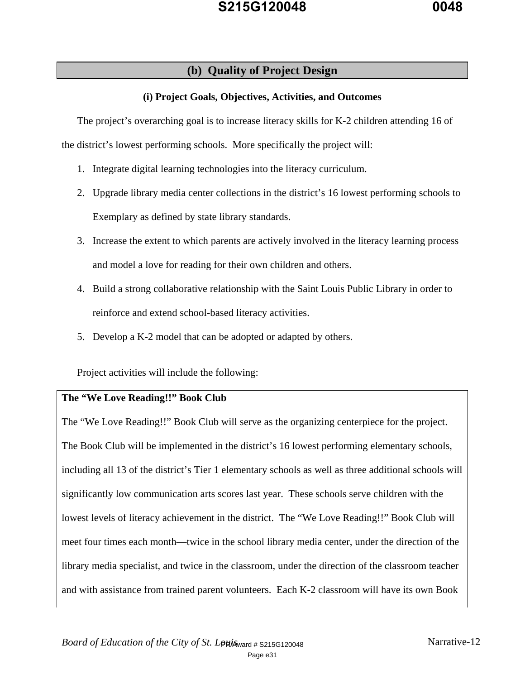### **(b) Quality of Project Design**

#### **(i) Project Goals, Objectives, Activities, and Outcomes**

The project's overarching goal is to increase literacy skills for K-2 children attending 16 of the district's lowest performing schools. More specifically the project will:

- 1. Integrate digital learning technologies into the literacy curriculum.
- 2. Upgrade library media center collections in the district's 16 lowest performing schools to Exemplary as defined by state library standards.
- 3. Increase the extent to which parents are actively involved in the literacy learning process and model a love for reading for their own children and others.
- 4. Build a strong collaborative relationship with the Saint Louis Public Library in order to reinforce and extend school-based literacy activities.
- 5. Develop a K-2 model that can be adopted or adapted by others.

Project activities will include the following:

#### **The "We Love Reading!!" Book Club**

The "We Love Reading!!" Book Club will serve as the organizing centerpiece for the project. The Book Club will be implemented in the district's 16 lowest performing elementary schools, including all 13 of the district's Tier 1 elementary schools as well as three additional schools will significantly low communication arts scores last year. These schools serve children with the lowest levels of literacy achievement in the district. The "We Love Reading!!" Book Club will meet four times each month—twice in the school library media center, under the direction of the library media specialist, and twice in the classroom, under the direction of the classroom teacher and with assistance from trained parent volunteers. Each K-2 classroom will have its own Book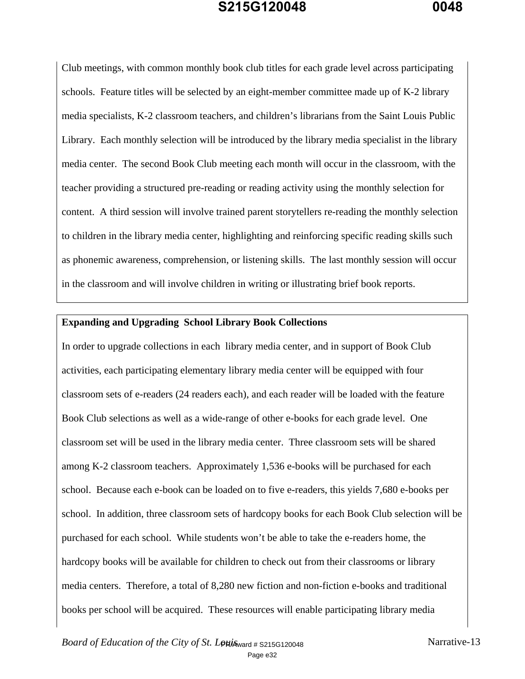Club meetings, with common monthly book club titles for each grade level across participating schools. Feature titles will be selected by an eight-member committee made up of K-2 library media specialists, K-2 classroom teachers, and children's librarians from the Saint Louis Public Library. Each monthly selection will be introduced by the library media specialist in the library media center. The second Book Club meeting each month will occur in the classroom, with the teacher providing a structured pre-reading or reading activity using the monthly selection for content. A third session will involve trained parent storytellers re-reading the monthly selection to children in the library media center, highlighting and reinforcing specific reading skills such as phonemic awareness, comprehension, or listening skills. The last monthly session will occur in the classroom and will involve children in writing or illustrating brief book reports.

#### **Expanding and Upgrading School Library Book Collections**

In order to upgrade collections in each library media center, and in support of Book Club activities, each participating elementary library media center will be equipped with four classroom sets of e-readers (24 readers each), and each reader will be loaded with the feature Book Club selections as well as a wide-range of other e-books for each grade level. One classroom set will be used in the library media center. Three classroom sets will be shared among K-2 classroom teachers. Approximately 1,536 e-books will be purchased for each school. Because each e-book can be loaded on to five e-readers, this yields 7,680 e-books per school. In addition, three classroom sets of hardcopy books for each Book Club selection will be purchased for each school. While students won't be able to take the e-readers home, the hardcopy books will be available for children to check out from their classrooms or library media centers. Therefore, a total of 8,280 new fiction and non-fiction e-books and traditional books per school will be acquired. These resources will enable participating library media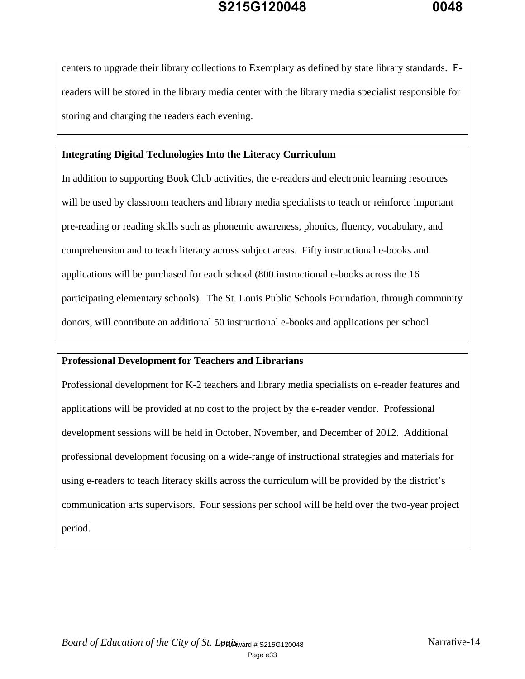centers to upgrade their library collections to Exemplary as defined by state library standards. Ereaders will be stored in the library media center with the library media specialist responsible for storing and charging the readers each evening.

#### **Integrating Digital Technologies Into the Literacy Curriculum**

In addition to supporting Book Club activities, the e-readers and electronic learning resources will be used by classroom teachers and library media specialists to teach or reinforce important pre-reading or reading skills such as phonemic awareness, phonics, fluency, vocabulary, and comprehension and to teach literacy across subject areas. Fifty instructional e-books and applications will be purchased for each school (800 instructional e-books across the 16 participating elementary schools). The St. Louis Public Schools Foundation, through community donors, will contribute an additional 50 instructional e-books and applications per school.

#### **Professional Development for Teachers and Librarians**

Professional development for K-2 teachers and library media specialists on e-reader features and applications will be provided at no cost to the project by the e-reader vendor. Professional development sessions will be held in October, November, and December of 2012. Additional professional development focusing on a wide-range of instructional strategies and materials for using e-readers to teach literacy skills across the curriculum will be provided by the district's communication arts supervisors. Four sessions per school will be held over the two-year project period.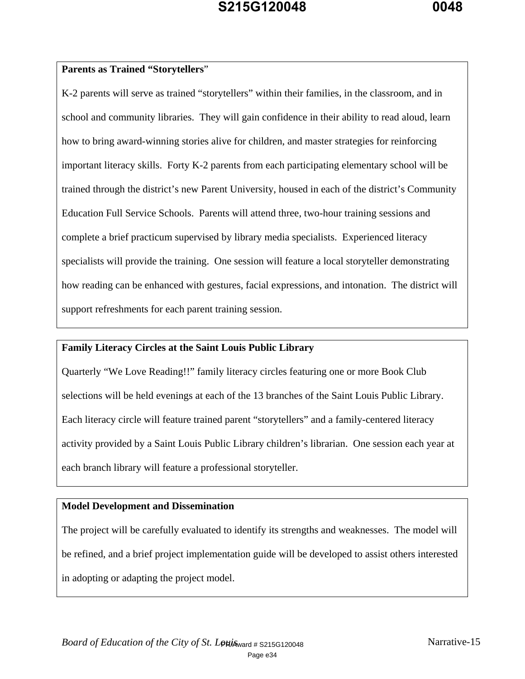#### **Parents as Trained "Storytellers**"

K-2 parents will serve as trained "storytellers" within their families, in the classroom, and in school and community libraries. They will gain confidence in their ability to read aloud, learn how to bring award-winning stories alive for children, and master strategies for reinforcing important literacy skills. Forty K-2 parents from each participating elementary school will be trained through the district's new Parent University, housed in each of the district's Community Education Full Service Schools. Parents will attend three, two-hour training sessions and complete a brief practicum supervised by library media specialists. Experienced literacy specialists will provide the training. One session will feature a local storyteller demonstrating how reading can be enhanced with gestures, facial expressions, and intonation. The district will support refreshments for each parent training session.

#### **Family Literacy Circles at the Saint Louis Public Library**

Quarterly "We Love Reading!!" family literacy circles featuring one or more Book Club selections will be held evenings at each of the 13 branches of the Saint Louis Public Library. Each literacy circle will feature trained parent "storytellers" and a family-centered literacy activity provided by a Saint Louis Public Library children's librarian. One session each year at each branch library will feature a professional storyteller.

#### **Model Development and Dissemination**

The project will be carefully evaluated to identify its strengths and weaknesses. The model will be refined, and a brief project implementation guide will be developed to assist others interested in adopting or adapting the project model.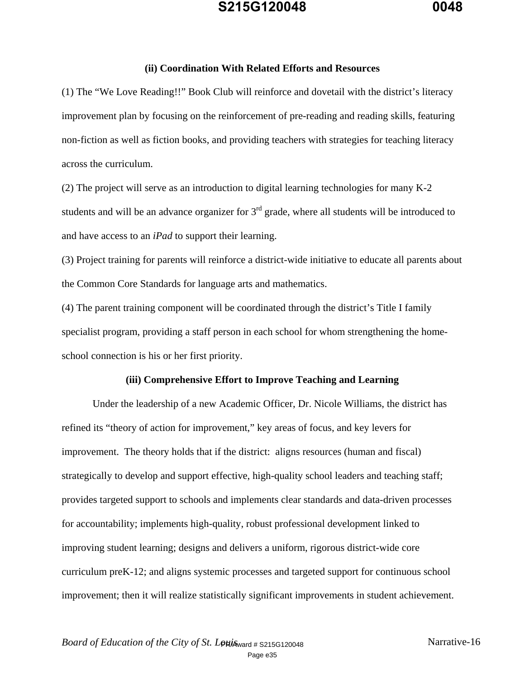#### **(ii) Coordination With Related Efforts and Resources**

(1) The "We Love Reading!!" Book Club will reinforce and dovetail with the district's literacy improvement plan by focusing on the reinforcement of pre-reading and reading skills, featuring non-fiction as well as fiction books, and providing teachers with strategies for teaching literacy across the curriculum.

(2) The project will serve as an introduction to digital learning technologies for many K-2 students and will be an advance organizer for  $3<sup>rd</sup>$  grade, where all students will be introduced to and have access to an *iPad* to support their learning.

(3) Project training for parents will reinforce a district-wide initiative to educate all parents about the Common Core Standards for language arts and mathematics.

(4) The parent training component will be coordinated through the district's Title I family specialist program, providing a staff person in each school for whom strengthening the homeschool connection is his or her first priority.

#### **(iii) Comprehensive Effort to Improve Teaching and Learning**

 Under the leadership of a new Academic Officer, Dr. Nicole Williams, the district has refined its "theory of action for improvement," key areas of focus, and key levers for improvement. The theory holds that if the district: aligns resources (human and fiscal) strategically to develop and support effective, high-quality school leaders and teaching staff; provides targeted support to schools and implements clear standards and data-driven processes for accountability; implements high-quality, robust professional development linked to improving student learning; designs and delivers a uniform, rigorous district-wide core curriculum preK-12; and aligns systemic processes and targeted support for continuous school improvement; then it will realize statistically significant improvements in student achievement.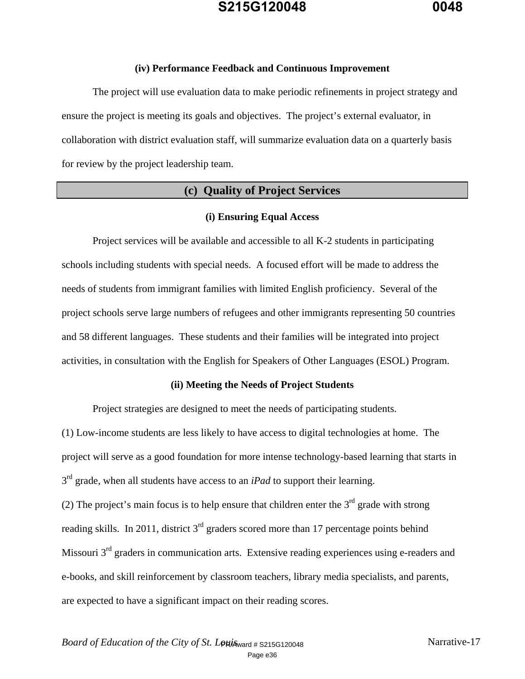#### **(iv) Performance Feedback and Continuous Improvement**

The project will use evaluation data to make periodic refinements in project strategy and ensure the project is meeting its goals and objectives. The project's external evaluator, in collaboration with district evaluation staff, will summarize evaluation data on a quarterly basis for review by the project leadership team.

### **(c) Quality of Project Services**

#### **(i) Ensuring Equal Access**

 Project services will be available and accessible to all K-2 students in participating schools including students with special needs. A focused effort will be made to address the needs of students from immigrant families with limited English proficiency. Several of the project schools serve large numbers of refugees and other immigrants representing 50 countries and 58 different languages. These students and their families will be integrated into project activities, in consultation with the English for Speakers of Other Languages (ESOL) Program.

#### **(ii) Meeting the Needs of Project Students**

Project strategies are designed to meet the needs of participating students.

(1) Low-income students are less likely to have access to digital technologies at home. The project will serve as a good foundation for more intense technology-based learning that starts in  $3<sup>rd</sup>$  grade, when all students have access to an *iPad* to support their learning.

(2) The project's main focus is to help ensure that children enter the  $3<sup>rd</sup>$  grade with strong reading skills. In 2011, district  $3<sup>rd</sup>$  graders scored more than 17 percentage points behind Missouri 3<sup>rd</sup> graders in communication arts. Extensive reading experiences using e-readers and e-books, and skill reinforcement by classroom teachers, library media specialists, and parents, are expected to have a significant impact on their reading scores.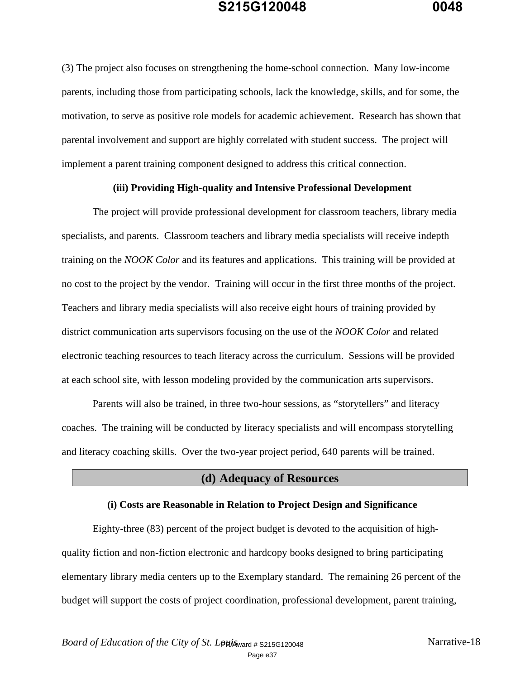(3) The project also focuses on strengthening the home-school connection. Many low-income parents, including those from participating schools, lack the knowledge, skills, and for some, the motivation, to serve as positive role models for academic achievement. Research has shown that parental involvement and support are highly correlated with student success. The project will implement a parent training component designed to address this critical connection.

#### **(iii) Providing High-quality and Intensive Professional Development**

 The project will provide professional development for classroom teachers, library media specialists, and parents. Classroom teachers and library media specialists will receive indepth training on the *NOOK Color* and its features and applications. This training will be provided at no cost to the project by the vendor. Training will occur in the first three months of the project. Teachers and library media specialists will also receive eight hours of training provided by district communication arts supervisors focusing on the use of the *NOOK Color* and related electronic teaching resources to teach literacy across the curriculum. Sessions will be provided at each school site, with lesson modeling provided by the communication arts supervisors.

 Parents will also be trained, in three two-hour sessions, as "storytellers" and literacy coaches. The training will be conducted by literacy specialists and will encompass storytelling and literacy coaching skills. Over the two-year project period, 640 parents will be trained.

#### **(d) Adequacy of Resources**

#### **(i) Costs are Reasonable in Relation to Project Design and Significance**

 Eighty-three (83) percent of the project budget is devoted to the acquisition of highquality fiction and non-fiction electronic and hardcopy books designed to bring participating elementary library media centers up to the Exemplary standard. The remaining 26 percent of the budget will support the costs of project coordination, professional development, parent training,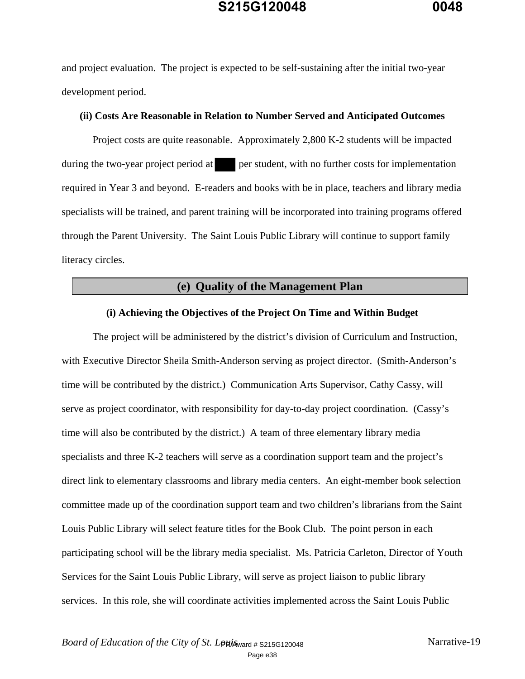and project evaluation. The project is expected to be self-sustaining after the initial two-year development period.

#### **(ii) Costs Are Reasonable in Relation to Number Served and Anticipated Outcomes**

Project costs are quite reasonable. Approximately 2,800 K-2 students will be impacted during the two-year project period at per student, with no further costs for implementation required in Year 3 and beyond. E-readers and books with be in place, teachers and library media specialists will be trained, and parent training will be incorporated into training programs offered through the Parent University. The Saint Louis Public Library will continue to support family literacy circles.

#### **(e) Quality of the Management Plan**

#### **(i) Achieving the Objectives of the Project On Time and Within Budget**

 The project will be administered by the district's division of Curriculum and Instruction, with Executive Director Sheila Smith-Anderson serving as project director. (Smith-Anderson's time will be contributed by the district.) Communication Arts Supervisor, Cathy Cassy, will serve as project coordinator, with responsibility for day-to-day project coordination. (Cassy's time will also be contributed by the district.) A team of three elementary library media specialists and three K-2 teachers will serve as a coordination support team and the project's direct link to elementary classrooms and library media centers. An eight-member book selection committee made up of the coordination support team and two children's librarians from the Saint Louis Public Library will select feature titles for the Book Club. The point person in each participating school will be the library media specialist. Ms. Patricia Carleton, Director of Youth Services for the Saint Louis Public Library, will serve as project liaison to public library services. In this role, she will coordinate activities implemented across the Saint Louis Public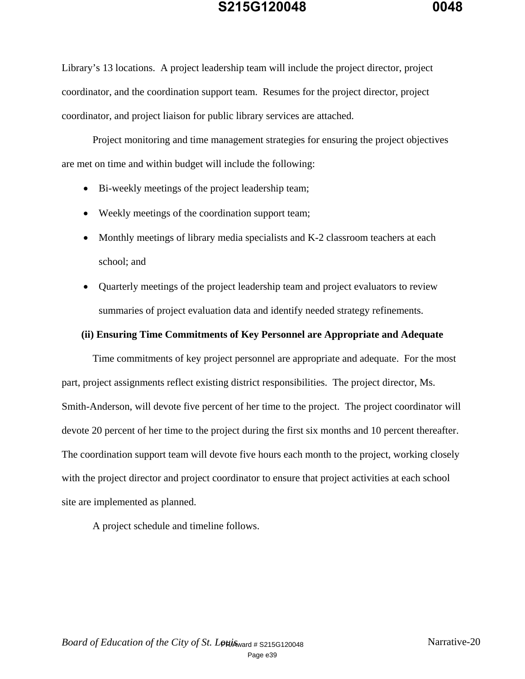Library's 13 locations. A project leadership team will include the project director, project coordinator, and the coordination support team. Resumes for the project director, project coordinator, and project liaison for public library services are attached.

 Project monitoring and time management strategies for ensuring the project objectives are met on time and within budget will include the following:

- Bi-weekly meetings of the project leadership team;
- Weekly meetings of the coordination support team;
- Monthly meetings of library media specialists and K-2 classroom teachers at each school; and
- Quarterly meetings of the project leadership team and project evaluators to review summaries of project evaluation data and identify needed strategy refinements.

#### **(ii) Ensuring Time Commitments of Key Personnel are Appropriate and Adequate**

 Time commitments of key project personnel are appropriate and adequate. For the most part, project assignments reflect existing district responsibilities. The project director, Ms. Smith-Anderson, will devote five percent of her time to the project. The project coordinator will devote 20 percent of her time to the project during the first six months and 10 percent thereafter. The coordination support team will devote five hours each month to the project, working closely with the project director and project coordinator to ensure that project activities at each school site are implemented as planned.

A project schedule and timeline follows.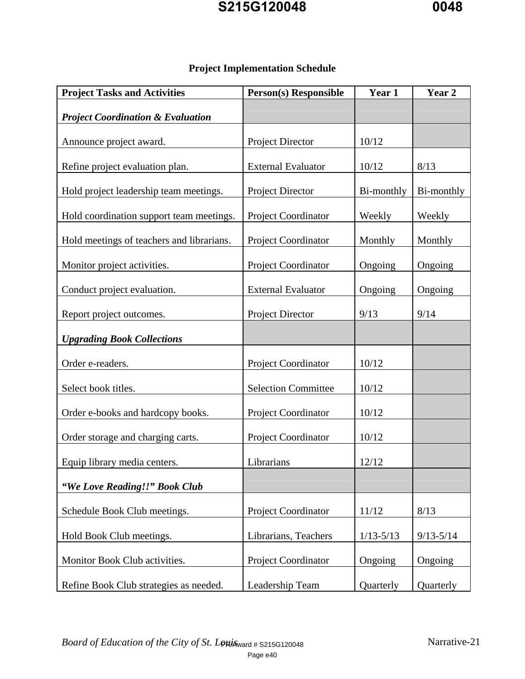| <b>Project Tasks and Activities</b>          | <b>Person(s)</b> Responsible | Year 1     | Year <sub>2</sub> |
|----------------------------------------------|------------------------------|------------|-------------------|
| <b>Project Coordination &amp; Evaluation</b> |                              |            |                   |
| Announce project award.                      | Project Director             | 10/12      |                   |
| Refine project evaluation plan.              | <b>External Evaluator</b>    | 10/12      | 8/13              |
| Hold project leadership team meetings.       | Project Director             | Bi-monthly | Bi-monthly        |
| Hold coordination support team meetings.     | Project Coordinator          | Weekly     | Weekly            |
| Hold meetings of teachers and librarians.    | Project Coordinator          | Monthly    | Monthly           |
| Monitor project activities.                  | Project Coordinator          | Ongoing    | Ongoing           |
| Conduct project evaluation.                  | <b>External Evaluator</b>    | Ongoing    | Ongoing           |
| Report project outcomes.                     | Project Director             | 9/13       | 9/14              |
| <b>Upgrading Book Collections</b>            |                              |            |                   |
| Order e-readers.                             | Project Coordinator          | 10/12      |                   |
| Select book titles.                          | <b>Selection Committee</b>   | 10/12      |                   |
| Order e-books and hardcopy books.            | Project Coordinator          | 10/12      |                   |
| Order storage and charging carts.            | Project Coordinator          | 10/12      |                   |
| Equip library media centers.                 | Librarians                   | 12/12      |                   |
| "We Love Reading!!" Book Club                |                              |            |                   |
|                                              |                              |            |                   |

Schedule Book Club meetings. Project Coordinator 11/12 8/13

Hold Book Club meetings. Librarians, Teachers 1/13-5/13 9/13-5/14

Monitor Book Club activities. <br> Project Coordinator | Ongoing | Ongoing

Refine Book Club strategies as needed. | Leadership Team | Quarterly | Quarterly

### **Project Implementation Schedule**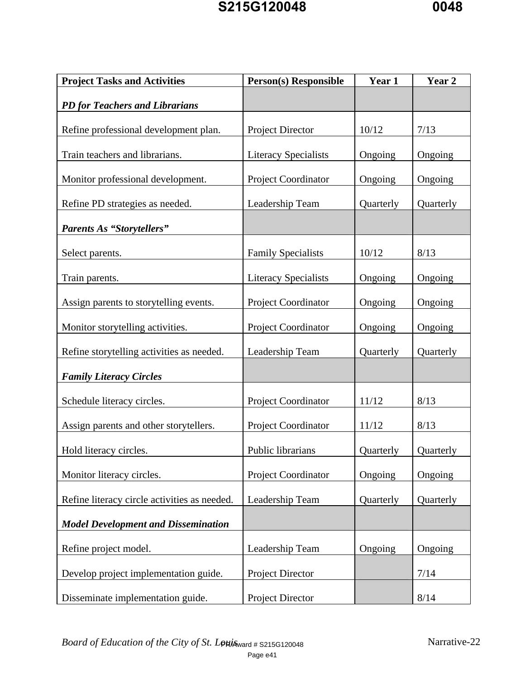| <b>Project Tasks and Activities</b>          | <b>Person(s)</b> Responsible | Year 1    | Year 2    |
|----------------------------------------------|------------------------------|-----------|-----------|
| <b>PD</b> for Teachers and Librarians        |                              |           |           |
| Refine professional development plan.        | Project Director             | 10/12     | 7/13      |
| Train teachers and librarians.               | <b>Literacy Specialists</b>  | Ongoing   | Ongoing   |
| Monitor professional development.            | Project Coordinator          | Ongoing   | Ongoing   |
| Refine PD strategies as needed.              | Leadership Team              | Quarterly | Quarterly |
| <b>Parents As "Storytellers"</b>             |                              |           |           |
| Select parents.                              | <b>Family Specialists</b>    | 10/12     | 8/13      |
| Train parents.                               | <b>Literacy Specialists</b>  | Ongoing   | Ongoing   |
| Assign parents to storytelling events.       | Project Coordinator          | Ongoing   | Ongoing   |
| Monitor storytelling activities.             | Project Coordinator          | Ongoing   | Ongoing   |
| Refine storytelling activities as needed.    | Leadership Team              | Quarterly | Quarterly |
| <b>Family Literacy Circles</b>               |                              |           |           |
| Schedule literacy circles.                   | Project Coordinator          | 11/12     | 8/13      |
| Assign parents and other storytellers.       | <b>Project Coordinator</b>   | 11/12     | 8/13      |
| Hold literacy circles.                       | Public librarians            | Quarterly | Quarterly |
| Monitor literacy circles.                    | Project Coordinator          | Ongoing   | Ongoing   |
| Refine literacy circle activities as needed. | Leadership Team              | Quarterly | Quarterly |
| <b>Model Development and Dissemination</b>   |                              |           |           |
| Refine project model.                        | Leadership Team              | Ongoing   | Ongoing   |
| Develop project implementation guide.        | <b>Project Director</b>      |           | 7/14      |
| Disseminate implementation guide.            | Project Director             |           | 8/14      |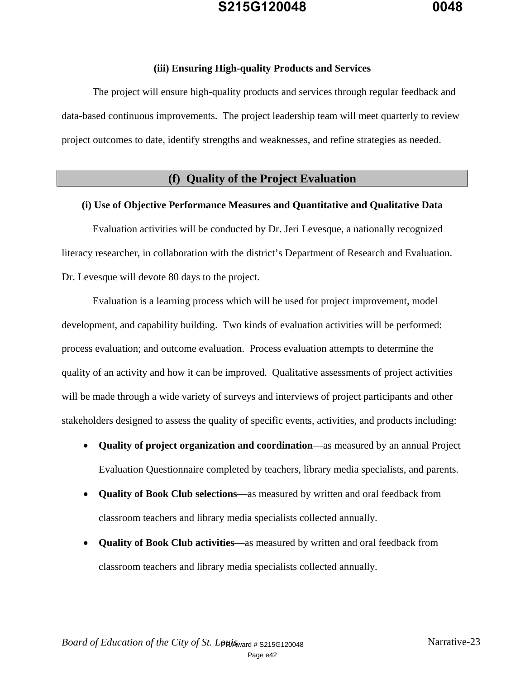#### **(iii) Ensuring High-quality Products and Services**

The project will ensure high-quality products and services through regular feedback and data-based continuous improvements. The project leadership team will meet quarterly to review project outcomes to date, identify strengths and weaknesses, and refine strategies as needed.

#### **(f) Quality of the Project Evaluation**

#### **(i) Use of Objective Performance Measures and Quantitative and Qualitative Data**

Evaluation activities will be conducted by Dr. Jeri Levesque, a nationally recognized literacy researcher, in collaboration with the district's Department of Research and Evaluation. Dr. Levesque will devote 80 days to the project.

 Evaluation is a learning process which will be used for project improvement, model development, and capability building. Two kinds of evaluation activities will be performed: process evaluation; and outcome evaluation. Process evaluation attempts to determine the quality of an activity and how it can be improved. Qualitative assessments of project activities will be made through a wide variety of surveys and interviews of project participants and other stakeholders designed to assess the quality of specific events, activities, and products including:

- **Quality of project organization and coordination**—as measured by an annual Project Evaluation Questionnaire completed by teachers, library media specialists, and parents.
- **Quality of Book Club selections**—as measured by written and oral feedback from classroom teachers and library media specialists collected annually.
- **Quality of Book Club activities**—as measured by written and oral feedback from classroom teachers and library media specialists collected annually.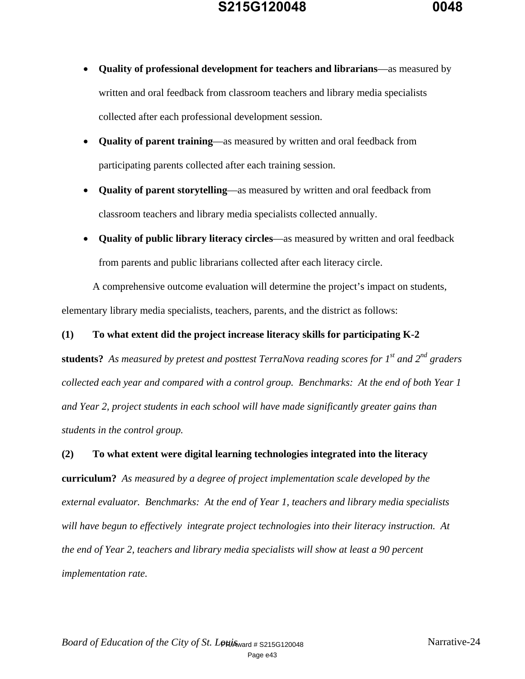

- **Quality of professional development for teachers and librarians**—as measured by written and oral feedback from classroom teachers and library media specialists collected after each professional development session.
- **Quality of parent training**—as measured by written and oral feedback from participating parents collected after each training session.
- **Quality of parent storytelling**—as measured by written and oral feedback from classroom teachers and library media specialists collected annually.
- **Quality of public library literacy circles**—as measured by written and oral feedback from parents and public librarians collected after each literacy circle.

A comprehensive outcome evaluation will determine the project's impact on students, elementary library media specialists, teachers, parents, and the district as follows:

#### **(1) To what extent did the project increase literacy skills for participating K-2**

**students?** *As measured by pretest and posttest TerraNova reading scores for 1st and 2nd graders collected each year and compared with a control group. Benchmarks: At the end of both Year 1 and Year 2, project students in each school will have made significantly greater gains than students in the control group.* 

### **(2) To what extent were digital learning technologies integrated into the literacy**

**curriculum?** *As measured by a degree of project implementation scale developed by the external evaluator. Benchmarks: At the end of Year 1, teachers and library media specialists will have begun to effectively integrate project technologies into their literacy instruction. At the end of Year 2, teachers and library media specialists will show at least a 90 percent implementation rate.*